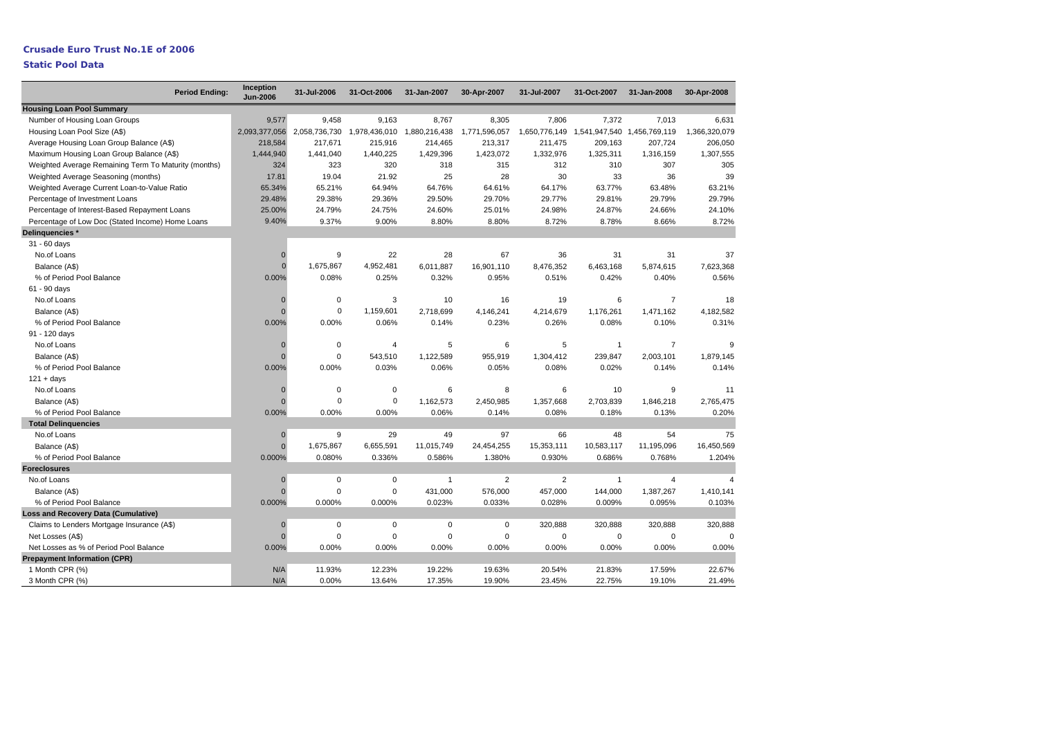## **Crusade Euro Trust No.1E of 2006 Static Pool Data**

| <b>Period Ending:</b>                                | Inception<br><b>Jun-2006</b> | 31-Jul-2006   | 31-Oct-2006    | 31-Jan-2007    | 30-Apr-2007    | 31-Jul-2007    | 31-Oct-2007                 | 31-Jan-2008    | 30-Apr-2008    |
|------------------------------------------------------|------------------------------|---------------|----------------|----------------|----------------|----------------|-----------------------------|----------------|----------------|
| <b>Housing Loan Pool Summary</b>                     |                              |               |                |                |                |                |                             |                |                |
| Number of Housing Loan Groups                        | 9,577                        | 9,458         | 9,163          | 8,767          | 8,305          | 7,806          | 7,372                       | 7,013          | 6,631          |
| Housing Loan Pool Size (A\$)                         | 2,093,377,056                | 2,058,736,730 | 1,978,436,010  | 1,880,216,438  | 1,771,596,057  | 1,650,776,149  | 1,541,947,540 1,456,769,119 |                | 1,366,320,079  |
| Average Housing Loan Group Balance (A\$)             | 218,584                      | 217,671       | 215,916        | 214,465        | 213,317        | 211,475        | 209,163                     | 207,724        | 206,050        |
| Maximum Housing Loan Group Balance (A\$)             | 1,444,940                    | 1,441,040     | 1,440,225      | 1,429,396      | 1,423,072      | 1,332,976      | 1,325,311                   | 1,316,159      | 1,307,555      |
| Weighted Average Remaining Term To Maturity (months) | 324                          | 323           | 320            | 318            | 315            | 312            | 310                         | 307            | 305            |
| Weighted Average Seasoning (months)                  | 17.81                        | 19.04         | 21.92          | 25             | 28             | 30             | 33                          | 36             | 39             |
| Weighted Average Current Loan-to-Value Ratio         | 65.34%                       | 65.21%        | 64.94%         | 64.76%         | 64.61%         | 64.17%         | 63.77%                      | 63.48%         | 63.21%         |
| Percentage of Investment Loans                       | 29.48%                       | 29.38%        | 29.36%         | 29.50%         | 29.70%         | 29.77%         | 29.81%                      | 29.79%         | 29.79%         |
| Percentage of Interest-Based Repayment Loans         | 25.00%                       | 24.79%        | 24.75%         | 24.60%         | 25.01%         | 24.98%         | 24.87%                      | 24.66%         | 24.10%         |
| Percentage of Low Doc (Stated Income) Home Loans     | 9.40%                        | 9.37%         | 9.00%          | 8.80%          | 8.80%          | 8.72%          | 8.78%                       | 8.66%          | 8.72%          |
| Delinguencies *                                      |                              |               |                |                |                |                |                             |                |                |
| 31 - 60 days                                         |                              |               |                |                |                |                |                             |                |                |
| No.of Loans                                          | $\mathbf 0$                  | 9             | 22             | 28             | 67             | 36             | 31                          | 31             | 37             |
| Balance (A\$)                                        | $\Omega$                     | 1,675,867     | 4,952,481      | 6,011,887      | 16,901,110     | 8,476,352      | 6,463,168                   | 5,874,615      | 7,623,368      |
| % of Period Pool Balance                             | 0.00%                        | 0.08%         | 0.25%          | 0.32%          | 0.95%          | 0.51%          | 0.42%                       | 0.40%          | 0.56%          |
| 61 - 90 days                                         |                              |               |                |                |                |                |                             |                |                |
| No.of Loans                                          | $\Omega$                     | $\mathbf 0$   | 3              | 10             | 16             | 19             | 6                           | $\overline{7}$ | 18             |
| Balance (A\$)                                        | $\Omega$                     | $\mathbf 0$   | 1,159,601      | 2,718,699      | 4,146,241      | 4,214,679      | 1,176,261                   | 1,471,162      | 4,182,582      |
| % of Period Pool Balance                             | 0.00%                        | 0.00%         | 0.06%          | 0.14%          | 0.23%          | 0.26%          | 0.08%                       | 0.10%          | 0.31%          |
| 91 - 120 days                                        |                              |               |                |                |                |                |                             |                |                |
| No.of Loans                                          | $\Omega$                     | $\mathbf 0$   | $\overline{4}$ | 5              | 6              | 5              | $\overline{1}$              | $\overline{7}$ | g              |
| Balance (A\$)                                        | $\Omega$                     | $\mathbf 0$   | 543,510        | 1,122,589      | 955,919        | 1,304,412      | 239,847                     | 2,003,101      | 1,879,145      |
| % of Period Pool Balance                             | 0.00%                        | 0.00%         | 0.03%          | 0.06%          | 0.05%          | 0.08%          | 0.02%                       | 0.14%          | 0.14%          |
| $121 + days$                                         |                              |               |                |                |                |                |                             |                |                |
| No.of Loans                                          | $\mathbf 0$                  | 0             | $\mathbf 0$    | 6              | 8              | 6              | 10                          | 9              | 11             |
| Balance (A\$)                                        | $\Omega$                     | $\mathbf 0$   | $\mathbf 0$    | 1,162,573      | 2,450,985      | 1,357,668      | 2,703,839                   | 1,846,218      | 2,765,475      |
| % of Period Pool Balance                             | 0.00%                        | 0.00%         | 0.00%          | 0.06%          | 0.14%          | 0.08%          | 0.18%                       | 0.13%          | 0.20%          |
| <b>Total Delinguencies</b>                           |                              |               |                |                |                |                |                             |                |                |
| No.of Loans                                          | $\mathbf 0$                  | 9             | 29             | 49             | 97             | 66             | 48                          | 54             | 75             |
| Balance (A\$)                                        | $\mathbf{0}$                 | 1,675,867     | 6,655,591      | 11,015,749     | 24,454,255     | 15,353,111     | 10,583,117                  | 11,195,096     | 16,450,569     |
| % of Period Pool Balance                             | 0.000%                       | 0.080%        | 0.336%         | 0.586%         | 1.380%         | 0.930%         | 0.686%                      | 0.768%         | 1.204%         |
| <b>Foreclosures</b>                                  |                              |               |                |                |                |                |                             |                |                |
| No.of Loans                                          | $\mathbf 0$                  | 0             | $\mathbf 0$    | $\overline{1}$ | $\overline{2}$ | $\overline{2}$ | $\overline{1}$              | $\overline{4}$ | $\overline{4}$ |
| Balance (A\$)                                        | $\mathbf{0}$                 | $\Omega$      | $\mathbf 0$    | 431,000        | 576,000        | 457,000        | 144,000                     | 1,387,267      | 1,410,141      |
| % of Period Pool Balance                             | 0.000%                       | 0.000%        | 0.000%         | 0.023%         | 0.033%         | 0.028%         | 0.009%                      | 0.095%         | 0.103%         |
| <b>Loss and Recovery Data (Cumulative)</b>           |                              |               |                |                |                |                |                             |                |                |
| Claims to Lenders Mortgage Insurance (A\$)           | $\mathbf 0$                  | $\mathbf 0$   | $\mathbf 0$    | $\mathbf 0$    | $\mathbf 0$    | 320,888        | 320,888                     | 320,888        | 320,888        |
| Net Losses (A\$)                                     | $\mathbf{0}$                 | $\mathbf 0$   | $\mathbf 0$    | $\mathbf 0$    | $\mathbf 0$    | $\mathbf 0$    | 0                           | 0              | $\Omega$       |
| Net Losses as % of Period Pool Balance               | 0.00%                        | 0.00%         | 0.00%          | 0.00%          | 0.00%          | 0.00%          | 0.00%                       | 0.00%          | 0.00%          |
| <b>Prepayment Information (CPR)</b>                  |                              |               |                |                |                |                |                             |                |                |
| 1 Month CPR (%)                                      | N/A                          | 11.93%        | 12.23%         | 19.22%         | 19.63%         | 20.54%         | 21.83%                      | 17.59%         | 22.67%         |
| 3 Month CPR (%)                                      | N/A                          | 0.00%         | 13.64%         | 17.35%         | 19.90%         | 23.45%         | 22.75%                      | 19.10%         | 21.49%         |